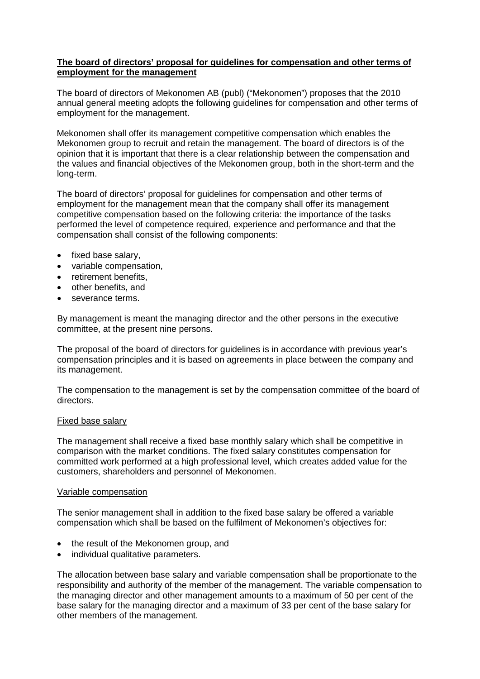## **The board of directors' proposal for guidelines for compensation and other terms of employment for the management**

The board of directors of Mekonomen AB (publ) ("Mekonomen") proposes that the 2010 annual general meeting adopts the following guidelines for compensation and other terms of employment for the management.

Mekonomen shall offer its management competitive compensation which enables the Mekonomen group to recruit and retain the management. The board of directors is of the opinion that it is important that there is a clear relationship between the compensation and the values and financial objectives of the Mekonomen group, both in the short-term and the long-term.

The board of directors' proposal for guidelines for compensation and other terms of employment for the management mean that the company shall offer its management competitive compensation based on the following criteria: the importance of the tasks performed the level of competence required, experience and performance and that the compensation shall consist of the following components:

- fixed base salary,
- variable compensation,
- retirement benefits,
- other benefits, and
- severance terms.

By management is meant the managing director and the other persons in the executive committee, at the present nine persons.

The proposal of the board of directors for guidelines is in accordance with previous year's compensation principles and it is based on agreements in place between the company and its management.

The compensation to the management is set by the compensation committee of the board of directors.

## Fixed base salary

The management shall receive a fixed base monthly salary which shall be competitive in comparison with the market conditions. The fixed salary constitutes compensation for committed work performed at a high professional level, which creates added value for the customers, shareholders and personnel of Mekonomen.

## Variable compensation

The senior management shall in addition to the fixed base salary be offered a variable compensation which shall be based on the fulfilment of Mekonomen's objectives for:

- the result of the Mekonomen group, and
- individual qualitative parameters.

The allocation between base salary and variable compensation shall be proportionate to the responsibility and authority of the member of the management. The variable compensation to the managing director and other management amounts to a maximum of 50 per cent of the base salary for the managing director and a maximum of 33 per cent of the base salary for other members of the management.